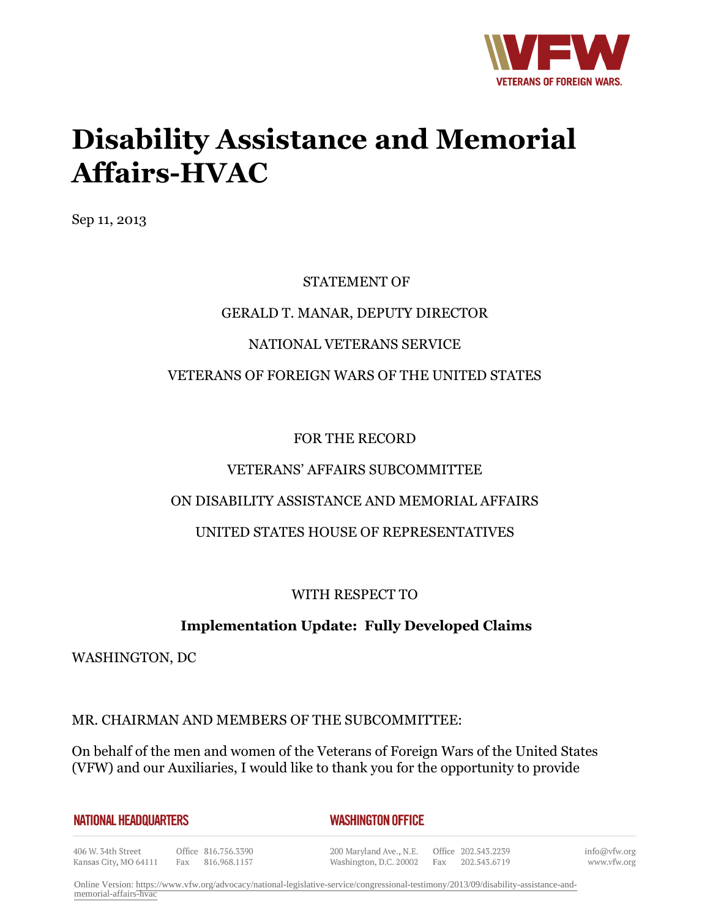

# **Disability Assistance and Memorial Affairs-HVAC**

Sep 11, 2013

# STATEMENT OF GERALD T. MANAR, DEPUTY DIRECTOR NATIONAL VETERANS SERVICE VETERANS OF FOREIGN WARS OF THE UNITED STATES

#### FOR THE RECORD

# VETERANS' AFFAIRS SUBCOMMITTEE

# ON DISABILITY ASSISTANCE AND MEMORIAL AFFAIRS

# UNITED STATES HOUSE OF REPRESENTATIVES

#### WITH RESPECT TO

# **Implementation Update: Fully Developed Claims**

WASHINGTON, DC

#### MR. CHAIRMAN AND MEMBERS OF THE SUBCOMMITTEE:

On behalf of the men and women of the Veterans of Foreign Wars of the United States (VFW) and our Auxiliaries, I would like to thank you for the opportunity to provide

#### *WASHINGTON OFFICE*

406 W. 34th Street Kansas City, MO 64111 Fax 816.968.1157

Office 816.756.3390

200 Maryland Ave., N.E. Washington, D.C. 20002 Fax 202.543.6719

Office 202.543.2239

info@vfw.org www.vfw.org

Online Version: [https://www.vfw.org/advocacy/national-legislative-service/congressional-testimony/2013/09/disability-assistance-and](https://www.vfw.org/advocacy/national-legislative-service/congressional-testimony/2013/09/disability-assistance-and-memorial-affairs-hvac)[memorial-affairs-hvac](https://www.vfw.org/advocacy/national-legislative-service/congressional-testimony/2013/09/disability-assistance-and-memorial-affairs-hvac)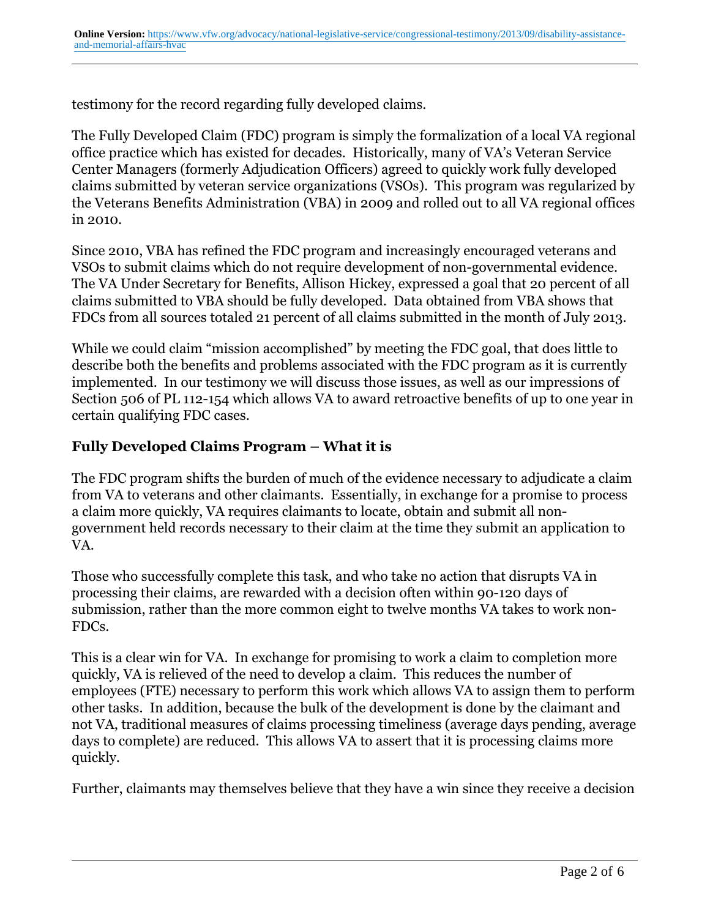testimony for the record regarding fully developed claims.

The Fully Developed Claim (FDC) program is simply the formalization of a local VA regional office practice which has existed for decades. Historically, many of VA's Veteran Service Center Managers (formerly Adjudication Officers) agreed to quickly work fully developed claims submitted by veteran service organizations (VSOs). This program was regularized by the Veterans Benefits Administration (VBA) in 2009 and rolled out to all VA regional offices in 2010.

Since 2010, VBA has refined the FDC program and increasingly encouraged veterans and VSOs to submit claims which do not require development of non-governmental evidence. The VA Under Secretary for Benefits, Allison Hickey, expressed a goal that 20 percent of all claims submitted to VBA should be fully developed. Data obtained from VBA shows that FDCs from all sources totaled 21 percent of all claims submitted in the month of July 2013.

While we could claim "mission accomplished" by meeting the FDC goal, that does little to describe both the benefits and problems associated with the FDC program as it is currently implemented. In our testimony we will discuss those issues, as well as our impressions of Section 506 of PL 112-154 which allows VA to award retroactive benefits of up to one year in certain qualifying FDC cases.

# **Fully Developed Claims Program – What it is**

The FDC program shifts the burden of much of the evidence necessary to adjudicate a claim from VA to veterans and other claimants. Essentially, in exchange for a promise to process a claim more quickly, VA requires claimants to locate, obtain and submit all nongovernment held records necessary to their claim at the time they submit an application to VA.

Those who successfully complete this task, and who take no action that disrupts VA in processing their claims, are rewarded with a decision often within 90-120 days of submission, rather than the more common eight to twelve months VA takes to work non-FDCs.

This is a clear win for VA. In exchange for promising to work a claim to completion more quickly, VA is relieved of the need to develop a claim. This reduces the number of employees (FTE) necessary to perform this work which allows VA to assign them to perform other tasks. In addition, because the bulk of the development is done by the claimant and not VA, traditional measures of claims processing timeliness (average days pending, average days to complete) are reduced. This allows VA to assert that it is processing claims more quickly.

Further, claimants may themselves believe that they have a win since they receive a decision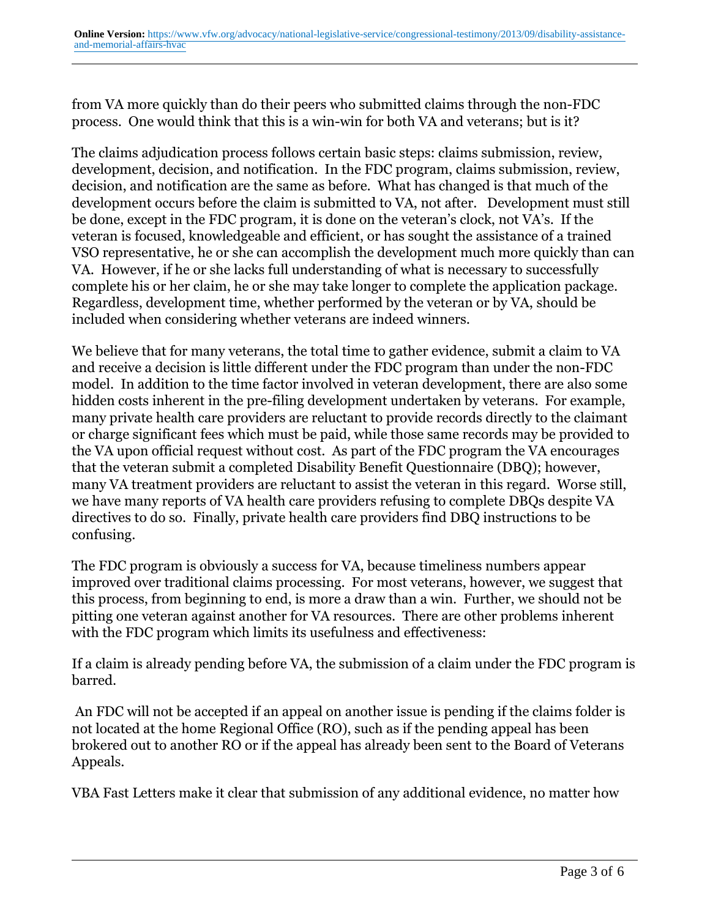from VA more quickly than do their peers who submitted claims through the non-FDC process. One would think that this is a win-win for both VA and veterans; but is it?

The claims adjudication process follows certain basic steps: claims submission, review, development, decision, and notification. In the FDC program, claims submission, review, decision, and notification are the same as before. What has changed is that much of the development occurs before the claim is submitted to VA, not after. Development must still be done, except in the FDC program, it is done on the veteran's clock, not VA's. If the veteran is focused, knowledgeable and efficient, or has sought the assistance of a trained VSO representative, he or she can accomplish the development much more quickly than can VA. However, if he or she lacks full understanding of what is necessary to successfully complete his or her claim, he or she may take longer to complete the application package. Regardless, development time, whether performed by the veteran or by VA, should be included when considering whether veterans are indeed winners.

We believe that for many veterans, the total time to gather evidence, submit a claim to VA and receive a decision is little different under the FDC program than under the non-FDC model. In addition to the time factor involved in veteran development, there are also some hidden costs inherent in the pre-filing development undertaken by veterans. For example, many private health care providers are reluctant to provide records directly to the claimant or charge significant fees which must be paid, while those same records may be provided to the VA upon official request without cost. As part of the FDC program the VA encourages that the veteran submit a completed Disability Benefit Questionnaire (DBQ); however, many VA treatment providers are reluctant to assist the veteran in this regard. Worse still, we have many reports of VA health care providers refusing to complete DBQs despite VA directives to do so. Finally, private health care providers find DBQ instructions to be confusing.

The FDC program is obviously a success for VA, because timeliness numbers appear improved over traditional claims processing. For most veterans, however, we suggest that this process, from beginning to end, is more a draw than a win. Further, we should not be pitting one veteran against another for VA resources. There are other problems inherent with the FDC program which limits its usefulness and effectiveness:

If a claim is already pending before VA, the submission of a claim under the FDC program is barred.

 An FDC will not be accepted if an appeal on another issue is pending if the claims folder is not located at the home Regional Office (RO), such as if the pending appeal has been brokered out to another RO or if the appeal has already been sent to the Board of Veterans Appeals.

VBA Fast Letters make it clear that submission of any additional evidence, no matter how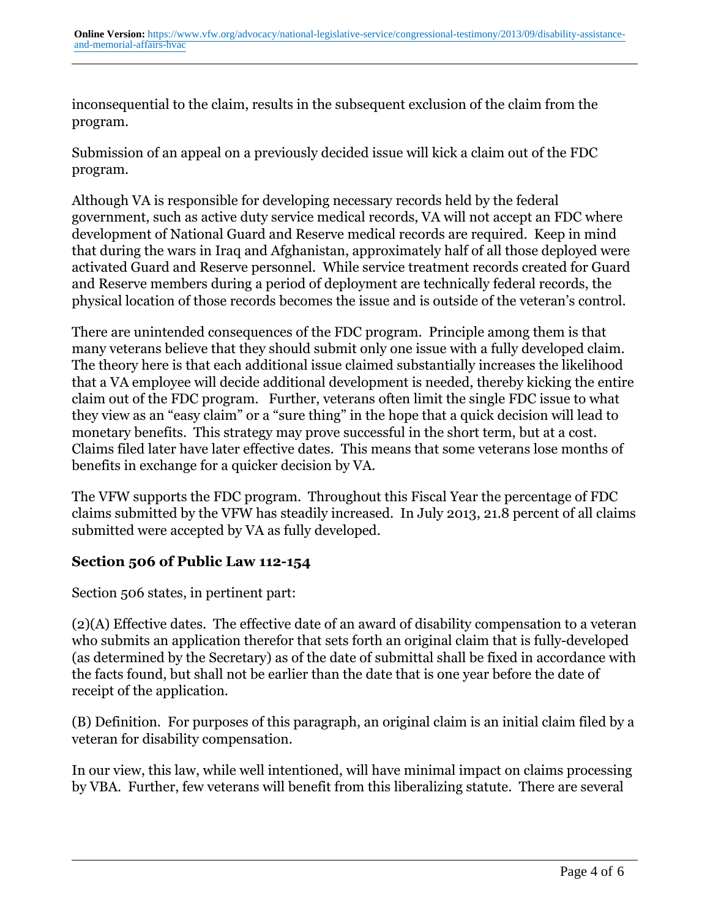inconsequential to the claim, results in the subsequent exclusion of the claim from the program.

Submission of an appeal on a previously decided issue will kick a claim out of the FDC program.

Although VA is responsible for developing necessary records held by the federal government, such as active duty service medical records, VA will not accept an FDC where development of National Guard and Reserve medical records are required. Keep in mind that during the wars in Iraq and Afghanistan, approximately half of all those deployed were activated Guard and Reserve personnel. While service treatment records created for Guard and Reserve members during a period of deployment are technically federal records, the physical location of those records becomes the issue and is outside of the veteran's control.

There are unintended consequences of the FDC program. Principle among them is that many veterans believe that they should submit only one issue with a fully developed claim. The theory here is that each additional issue claimed substantially increases the likelihood that a VA employee will decide additional development is needed, thereby kicking the entire claim out of the FDC program. Further, veterans often limit the single FDC issue to what they view as an "easy claim" or a "sure thing" in the hope that a quick decision will lead to monetary benefits. This strategy may prove successful in the short term, but at a cost. Claims filed later have later effective dates. This means that some veterans lose months of benefits in exchange for a quicker decision by VA.

The VFW supports the FDC program. Throughout this Fiscal Year the percentage of FDC claims submitted by the VFW has steadily increased. In July 2013, 21.8 percent of all claims submitted were accepted by VA as fully developed.

# **Section 506 of Public Law 112-154**

Section 506 states, in pertinent part:

(2)(A) Effective dates. The effective date of an award of disability compensation to a veteran who submits an application therefor that sets forth an original claim that is fully-developed (as determined by the Secretary) as of the date of submittal shall be fixed in accordance with the facts found, but shall not be earlier than the date that is one year before the date of receipt of the application.

(B) Definition. For purposes of this paragraph, an original claim is an initial claim filed by a veteran for disability compensation.

In our view, this law, while well intentioned, will have minimal impact on claims processing by VBA. Further, few veterans will benefit from this liberalizing statute. There are several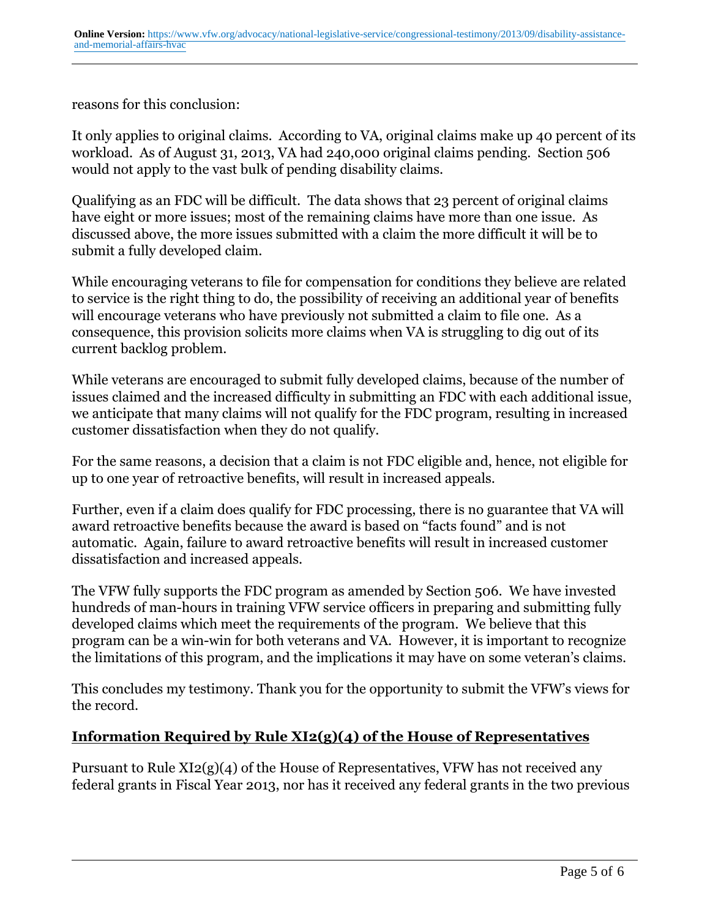reasons for this conclusion:

It only applies to original claims. According to VA, original claims make up 40 percent of its workload. As of August 31, 2013, VA had 240,000 original claims pending. Section 506 would not apply to the vast bulk of pending disability claims.

Qualifying as an FDC will be difficult. The data shows that 23 percent of original claims have eight or more issues; most of the remaining claims have more than one issue. As discussed above, the more issues submitted with a claim the more difficult it will be to submit a fully developed claim.

While encouraging veterans to file for compensation for conditions they believe are related to service is the right thing to do, the possibility of receiving an additional year of benefits will encourage veterans who have previously not submitted a claim to file one. As a consequence, this provision solicits more claims when VA is struggling to dig out of its current backlog problem.

While veterans are encouraged to submit fully developed claims, because of the number of issues claimed and the increased difficulty in submitting an FDC with each additional issue, we anticipate that many claims will not qualify for the FDC program, resulting in increased customer dissatisfaction when they do not qualify.

For the same reasons, a decision that a claim is not FDC eligible and, hence, not eligible for up to one year of retroactive benefits, will result in increased appeals.

Further, even if a claim does qualify for FDC processing, there is no guarantee that VA will award retroactive benefits because the award is based on "facts found" and is not automatic. Again, failure to award retroactive benefits will result in increased customer dissatisfaction and increased appeals.

The VFW fully supports the FDC program as amended by Section 506. We have invested hundreds of man-hours in training VFW service officers in preparing and submitting fully developed claims which meet the requirements of the program. We believe that this program can be a win-win for both veterans and VA. However, it is important to recognize the limitations of this program, and the implications it may have on some veteran's claims.

This concludes my testimony. Thank you for the opportunity to submit the VFW's views for the record.

# **Information Required by Rule XI2(g)(4) of the House of Representatives**

Pursuant to Rule XI2(g)(4) of the House of Representatives, VFW has not received any federal grants in Fiscal Year 2013, nor has it received any federal grants in the two previous